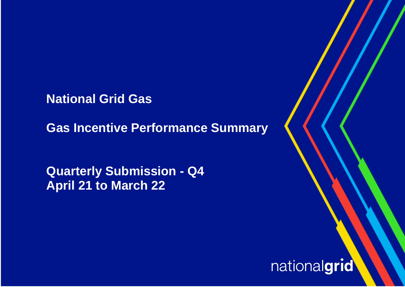**National Grid Gas** 

**Gas Incentive Performance Summary**

**Quarterly Submission - Q4 April 21 to March 22**

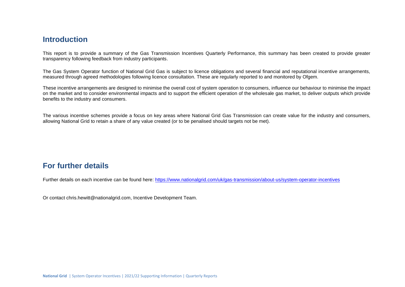## **Introduction**

This report is to provide a summary of the Gas Transmission Incentives Quarterly Performance, this summary has been created to provide greater transparency following feedback from industry participants.

The Gas System Operator function of National Grid Gas is subject to licence obligations and several financial and reputational incentive arrangements, measured through agreed methodologies following licence consultation. These are regularly reported to and monitored by Ofgem.

These incentive arrangements are designed to minimise the overall cost of system operation to consumers, influence our behaviour to minimise the impact on the market and to consider environmental impacts and to support the efficient operation of the wholesale gas market, to deliver outputs which provide benefits to the industry and consumers.

The various incentive schemes provide a focus on key areas where National Grid Gas Transmission can create value for the industry and consumers, allowing National Grid to retain a share of any value created (or to be penalised should targets not be met).

## **For further details**

Further details on each incentive can be found here: <https://www.nationalgrid.com/uk/gas-transmission/about-us/system-operator-incentives>

Or contact [chris.hewitt@nationalgrid.com,](mailto:chris.hewitt@nationalgrid.com) Incentive Development Team.